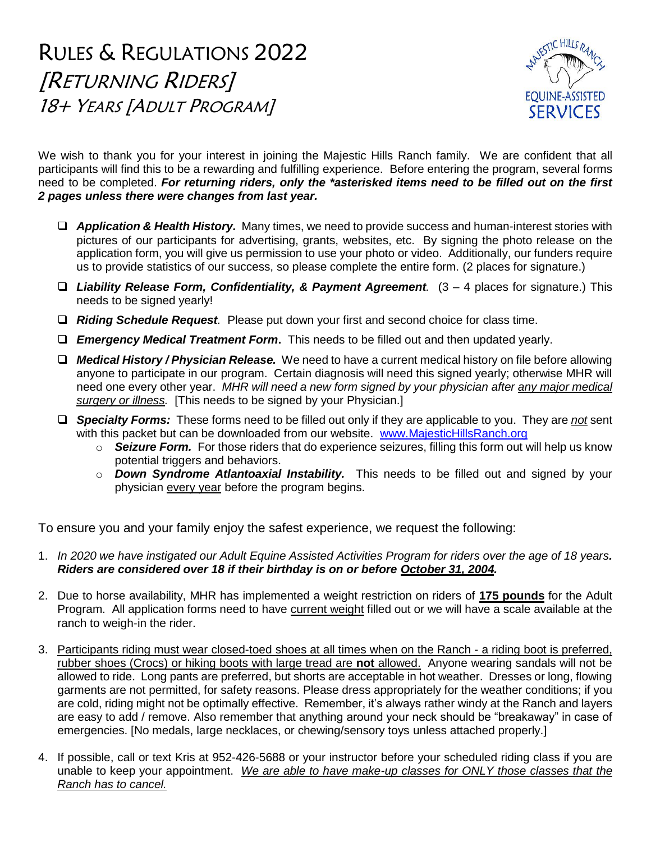RULES & REGULATIONS 2022 [RETURNING RIDERS] 18+ YEARS [ADULT PROGRAM]



We wish to thank you for your interest in joining the Majestic Hills Ranch family. We are confident that all participants will find this to be a rewarding and fulfilling experience. Before entering the program, several forms need to be completed. *For returning riders, only the \*asterisked items need to be filled out on the first 2 pages unless there were changes from last year.*

- ❑ *Application & Health History.* Many times, we need to provide success and human-interest stories with pictures of our participants for advertising, grants, websites, etc. By signing the photo release on the application form, you will give us permission to use your photo or video. Additionally, our funders require us to provide statistics of our success, so please complete the entire form. (2 places for signature.)
- ❑ *Liability Release Form, Confidentiality, & Payment Agreement.* (3 4 places for signature.) This needs to be signed yearly!
- ❑ *Riding Schedule Request.* Please put down your first and second choice for class time.
- ❑ *Emergency Medical Treatment Form***.** This needs to be filled out and then updated yearly.
- ❑ *Medical History / Physician Release.* We need to have a current medical history on file before allowing anyone to participate in our program. Certain diagnosis will need this signed yearly; otherwise MHR will need one every other year. *MHR will need a new form signed by your physician after any major medical surgery or illness.* [This needs to be signed by your Physician.]
- ❑ *Specialty Forms:* These forms need to be filled out only if they are applicable to you. They are *not* sent with this packet but can be downloaded from our website. [www.MajesticHillsRanch.org](http://www.majestichillsranch.org/)
	- o *Seizure Form.* For those riders that do experience seizures, filling this form out will help us know potential triggers and behaviors.
	- o *Down Syndrome Atlantoaxial Instability.* This needs to be filled out and signed by your physician every year before the program begins.

To ensure you and your family enjoy the safest experience, we request the following:

- 1. *In 2020 we have instigated our Adult Equine Assisted Activities Program for riders over the age of 18 years. Riders are considered over 18 if their birthday is on or before October 31, 2004.*
- 2. Due to horse availability, MHR has implemented a weight restriction on riders of **175 pounds** for the Adult Program. All application forms need to have current weight filled out or we will have a scale available at the ranch to weigh-in the rider.
- 3. Participants riding must wear closed-toed shoes at all times when on the Ranch a riding boot is preferred, rubber shoes (Crocs) or hiking boots with large tread are **not** allowed. Anyone wearing sandals will not be allowed to ride. Long pants are preferred, but shorts are acceptable in hot weather. Dresses or long, flowing garments are not permitted, for safety reasons. Please dress appropriately for the weather conditions; if you are cold, riding might not be optimally effective. Remember, it's always rather windy at the Ranch and layers are easy to add / remove. Also remember that anything around your neck should be "breakaway" in case of emergencies. [No medals, large necklaces, or chewing/sensory toys unless attached properly.]
- 4. If possible, call or text Kris at 952-426-5688 or your instructor before your scheduled riding class if you are unable to keep your appointment. *We are able to have make-up classes for ONLY those classes that the Ranch has to cancel.*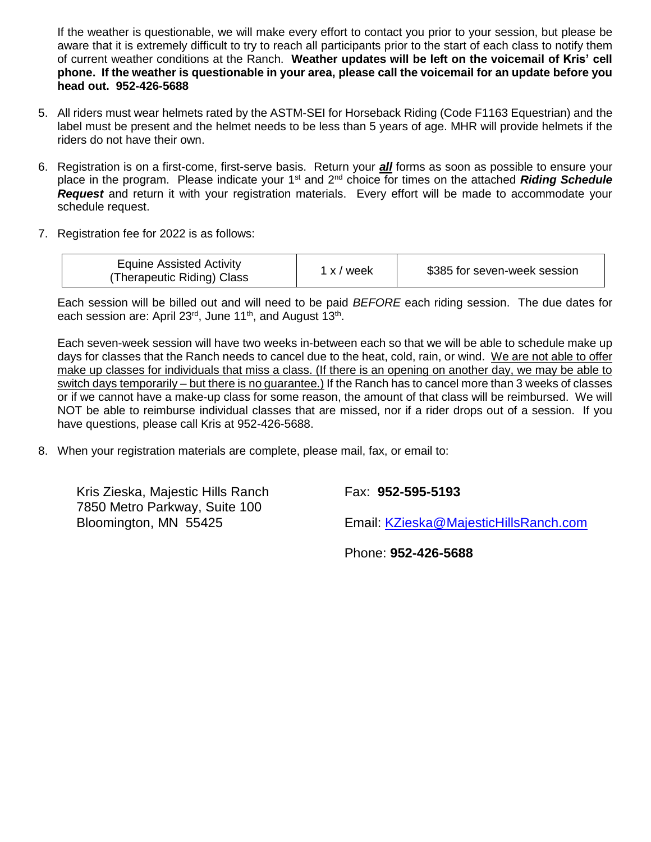If the weather is questionable, we will make every effort to contact you prior to your session, but please be aware that it is extremely difficult to try to reach all participants prior to the start of each class to notify them of current weather conditions at the Ranch. **Weather updates will be left on the voicemail of Kris' cell phone. If the weather is questionable in your area, please call the voicemail for an update before you head out. 952-426-5688**

- 5. All riders must wear helmets rated by the ASTM-SEI for Horseback Riding (Code F1163 Equestrian) and the label must be present and the helmet needs to be less than 5 years of age. MHR will provide helmets if the riders do not have their own.
- 6. Registration is on a first-come, first-serve basis. Return your *all* forms as soon as possible to ensure your place in the program. Please indicate your 1<sup>st</sup> and 2<sup>nd</sup> choice for times on the attached *Riding Schedule Request* and return it with your registration materials. Every effort will be made to accommodate your schedule request.
- 7. Registration fee for 2022 is as follows:

| <b>Equine Assisted Activity</b><br>(Therapeutic Riding) Class | 1 x / week | \$385 for seven-week session |
|---------------------------------------------------------------|------------|------------------------------|
|---------------------------------------------------------------|------------|------------------------------|

Each session will be billed out and will need to be paid *BEFORE* each riding session. The due dates for each session are: April 23<sup>rd</sup>, June 11<sup>th</sup>, and August 13<sup>th</sup>.

Each seven-week session will have two weeks in-between each so that we will be able to schedule make up days for classes that the Ranch needs to cancel due to the heat, cold, rain, or wind. We are not able to offer make up classes for individuals that miss a class. (If there is an opening on another day, we may be able to switch days temporarily – but there is no guarantee.) If the Ranch has to cancel more than 3 weeks of classes or if we cannot have a make-up class for some reason, the amount of that class will be reimbursed. We will NOT be able to reimburse individual classes that are missed, nor if a rider drops out of a session. If you have questions, please call Kris at 952-426-5688.

8. When your registration materials are complete, please mail, fax, or email to:

Kris Zieska, Majestic Hills Ranch Fax: **952-595-5193** 7850 Metro Parkway, Suite 100

Bloomington, MN 55425 Email: [KZieska@MajesticHillsRanch.com](mailto:KZieska@MajesticHillsRanch.com)

Phone: **952-426-5688**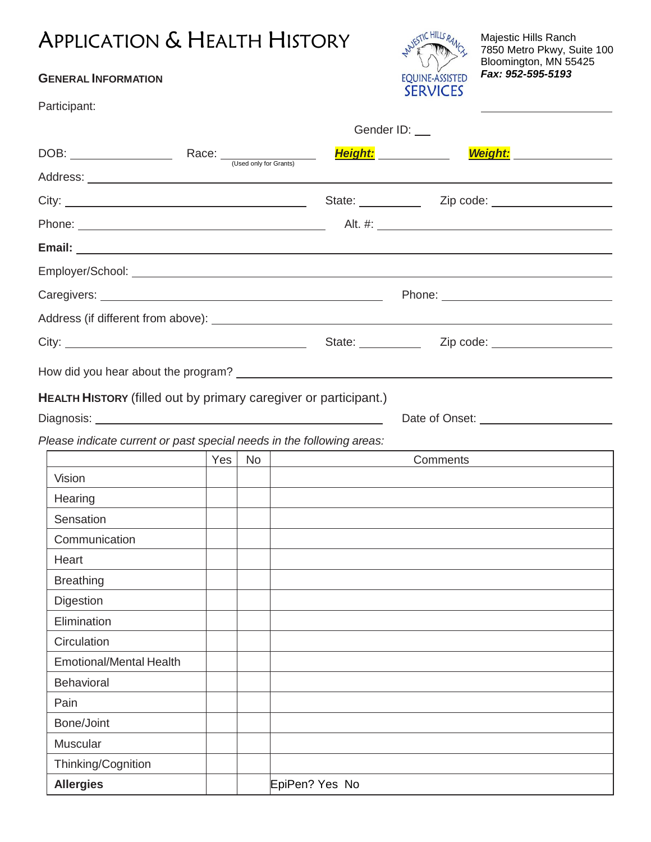### APPLICATION & HEALTH HISTORY

#### **GENERAL INFORMATION**

Participant:



Gender ID: \_\_

Majestic Hills Ranch 7850 Metro Pkwy, Suite 100 Bloomington, MN 55425 *Fax: 952-595-5193*

| $DOB:$ Race: $\frac{C}{C}$ (Used only for Grants)                     |     |    |                | Height: <b>Height:</b><br><u>Weight: Weight: Weight: Weight: Weight: Weight:</u>                     |
|-----------------------------------------------------------------------|-----|----|----------------|------------------------------------------------------------------------------------------------------|
|                                                                       |     |    |                |                                                                                                      |
|                                                                       |     |    |                | State: <u>Zip</u> code: <u>Zip code:</u>                                                             |
|                                                                       |     |    |                | Alt. #: 2008 2008 2014 2022 2023 2024 2022 2022 2023 2024 2022 2023 2024 2022 2023 2024 2022 2023 20 |
|                                                                       |     |    |                |                                                                                                      |
|                                                                       |     |    |                |                                                                                                      |
|                                                                       |     |    |                |                                                                                                      |
|                                                                       |     |    |                |                                                                                                      |
|                                                                       |     |    |                |                                                                                                      |
|                                                                       |     |    |                |                                                                                                      |
|                                                                       |     |    |                |                                                                                                      |
| HEALTH HISTORY (filled out by primary caregiver or participant.)      |     |    |                |                                                                                                      |
|                                                                       |     |    |                |                                                                                                      |
| Please indicate current or past special needs in the following areas: |     |    |                |                                                                                                      |
|                                                                       | Yes | No |                | Comments                                                                                             |
| Vision                                                                |     |    |                |                                                                                                      |
| Hearing                                                               |     |    |                |                                                                                                      |
| Sensation                                                             |     |    |                |                                                                                                      |
| Communication                                                         |     |    |                |                                                                                                      |
| Heart                                                                 |     |    |                |                                                                                                      |
| <b>Breathing</b>                                                      |     |    |                |                                                                                                      |
| Digestion                                                             |     |    |                |                                                                                                      |
| Elimination                                                           |     |    |                |                                                                                                      |
| Circulation                                                           |     |    |                |                                                                                                      |
| <b>Emotional/Mental Health</b>                                        |     |    |                |                                                                                                      |
| <b>Behavioral</b>                                                     |     |    |                |                                                                                                      |
| Pain                                                                  |     |    |                |                                                                                                      |
| Bone/Joint                                                            |     |    |                |                                                                                                      |
| Muscular                                                              |     |    |                |                                                                                                      |
| Thinking/Cognition                                                    |     |    |                |                                                                                                      |
| <b>Allergies</b>                                                      |     |    | EpiPen? Yes No |                                                                                                      |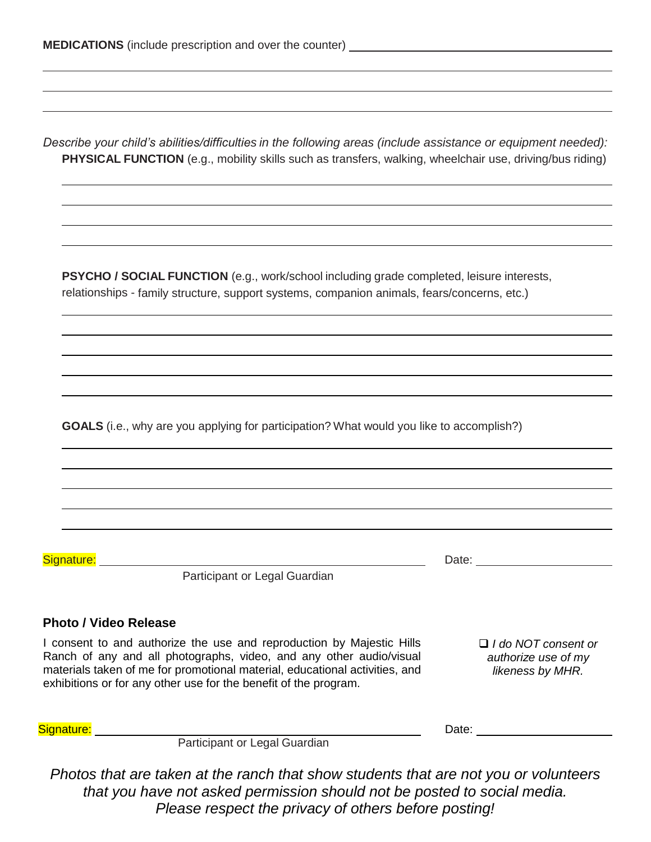*Describe your child's abilities/difficulties in the following areas (include assistance or equipment needed):* **PHYSICAL FUNCTION** (e.g., mobility skills such as transfers, walking, wheelchair use, driving/bus riding)

**PSYCHO / SOCIAL FUNCTION** (e.g., work/school including grade completed, leisure interests, relationships - family structure, support systems, companion animals, fears/concerns, etc.)

**GOALS** (i.e., why are you applying for participation? What would you like to accomplish?)

Signature: Date: Date: Date: Date: Date: Date: Date: Date: Date: Date: Date: Date: Date: Date: Date: Date: Date: Date: Date: Date: Date: Date: Date: Date: Date: Date: Date: Date: Date: Date: Date: Date: Date: Date: Date: D

Participant or Legal Guardian

#### **Photo / Video Release**

I consent to and authorize the use and reproduction by Majestic Hills Ranch of any and all photographs, video, and any other audio/visual materials taken of me for promotional material, educational activities, and exhibitions or for any other use for the benefit of the program.

❑ *I do NOT consent or authorize use of my likeness by MHR.*

Participant or Legal Guardian

Signature: <u>Date: Date: Date: Date: Date: Date: Date: Date: Date: Date: Date: Date: Date: Date: Date: Date: Date: Date: Date: Date: Date: Date: Date: Date: Date: Date: Date: Date: Date: Date: Date: Date: Date: Date: Date: </u>

*Photos that are taken at the ranch that show students that are not you or volunteers that you have not asked permission should not be posted to social media. Please respect the privacy of others before posting!*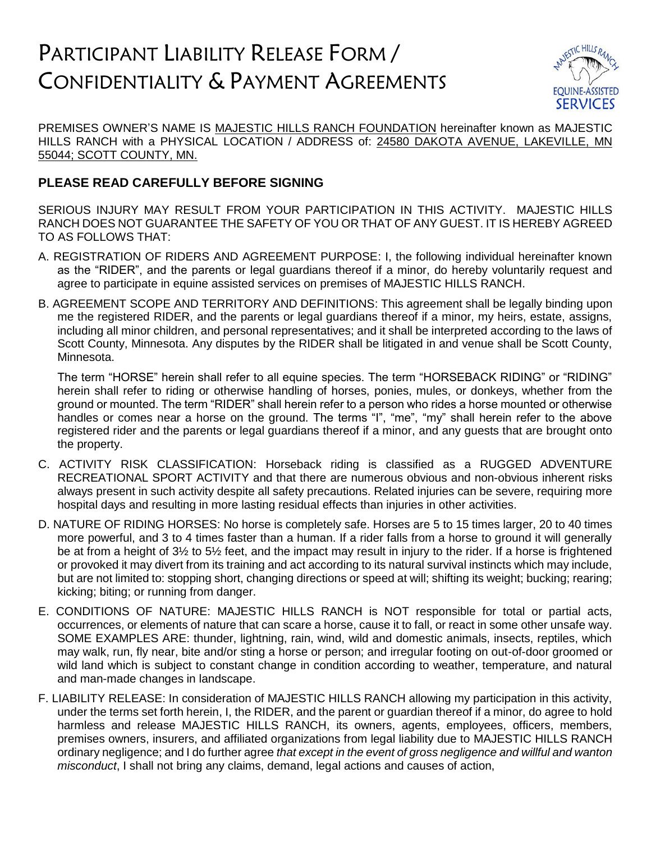## PARTICIPANT LIABILITY RELEASE FORM / CONFIDENTIALITY & PAYMENT AGREEMENTS



PREMISES OWNER'S NAME IS MAJESTIC HILLS RANCH FOUNDATION hereinafter known as MAJESTIC HILLS RANCH with a PHYSICAL LOCATION / ADDRESS of: 24580 DAKOTA AVENUE, LAKEVILLE, MN 55044; SCOTT COUNTY, MN.

#### **PLEASE READ CAREFULLY BEFORE SIGNING**

SERIOUS INJURY MAY RESULT FROM YOUR PARTICIPATION IN THIS ACTIVITY. MAJESTIC HILLS RANCH DOES NOT GUARANTEE THE SAFETY OF YOU OR THAT OF ANY GUEST. IT IS HEREBY AGREED TO AS FOLLOWS THAT:

- A. REGISTRATION OF RIDERS AND AGREEMENT PURPOSE: I, the following individual hereinafter known as the "RIDER", and the parents or legal guardians thereof if a minor, do hereby voluntarily request and agree to participate in equine assisted services on premises of MAJESTIC HILLS RANCH.
- B. AGREEMENT SCOPE AND TERRITORY AND DEFINITIONS: This agreement shall be legally binding upon me the registered RIDER, and the parents or legal guardians thereof if a minor, my heirs, estate, assigns, including all minor children, and personal representatives; and it shall be interpreted according to the laws of Scott County, Minnesota. Any disputes by the RIDER shall be litigated in and venue shall be Scott County, Minnesota.

The term "HORSE" herein shall refer to all equine species. The term "HORSEBACK RIDING" or "RIDING" herein shall refer to riding or otherwise handling of horses, ponies, mules, or donkeys, whether from the ground or mounted. The term "RIDER" shall herein refer to a person who rides a horse mounted or otherwise handles or comes near a horse on the ground. The terms "I", "me", "my" shall herein refer to the above registered rider and the parents or legal guardians thereof if a minor, and any guests that are brought onto the property.

- C. ACTIVITY RISK CLASSIFICATION: Horseback riding is classified as a RUGGED ADVENTURE RECREATIONAL SPORT ACTIVITY and that there are numerous obvious and non-obvious inherent risks always present in such activity despite all safety precautions. Related injuries can be severe, requiring more hospital days and resulting in more lasting residual effects than injuries in other activities.
- D. NATURE OF RIDING HORSES: No horse is completely safe. Horses are 5 to 15 times larger, 20 to 40 times more powerful, and 3 to 4 times faster than a human. If a rider falls from a horse to ground it will generally be at from a height of 3½ to 5½ feet, and the impact may result in injury to the rider. If a horse is frightened or provoked it may divert from its training and act according to its natural survival instincts which may include, but are not limited to: stopping short, changing directions or speed at will; shifting its weight; bucking; rearing; kicking; biting; or running from danger.
- E. CONDITIONS OF NATURE: MAJESTIC HILLS RANCH is NOT responsible for total or partial acts, occurrences, or elements of nature that can scare a horse, cause it to fall, or react in some other unsafe way. SOME EXAMPLES ARE: thunder, lightning, rain, wind, wild and domestic animals, insects, reptiles, which may walk, run, fly near, bite and/or sting a horse or person; and irregular footing on out-of-door groomed or wild land which is subject to constant change in condition according to weather, temperature, and natural and man-made changes in landscape.
- F. LIABILITY RELEASE: In consideration of MAJESTIC HILLS RANCH allowing my participation in this activity, under the terms set forth herein, I, the RIDER, and the parent or guardian thereof if a minor, do agree to hold harmless and release MAJESTIC HILLS RANCH, its owners, agents, employees, officers, members, premises owners, insurers, and affiliated organizations from legal liability due to MAJESTIC HILLS RANCH ordinary negligence; and I do further agree *that except in the event of gross negligence and willful and wanton misconduct*, I shall not bring any claims, demand, legal actions and causes of action,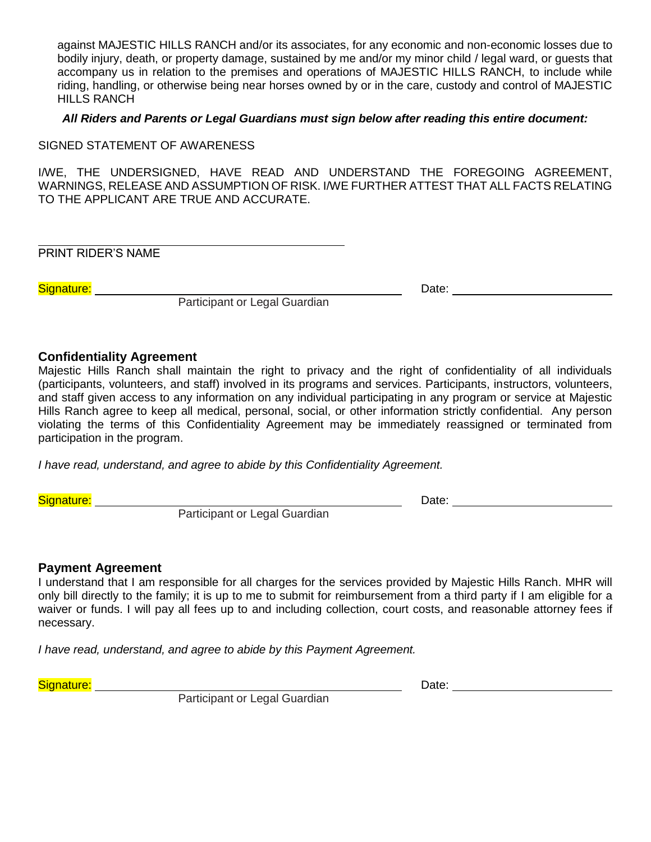against MAJESTIC HILLS RANCH and/or its associates, for any economic and non-economic losses due to bodily injury, death, or property damage, sustained by me and/or my minor child / legal ward, or guests that accompany us in relation to the premises and operations of MAJESTIC HILLS RANCH, to include while riding, handling, or otherwise being near horses owned by or in the care, custody and control of MAJESTIC HILLS RANCH

#### *All Riders and Parents or Legal Guardians must sign below after reading this entire document:*

SIGNED STATEMENT OF AWARENESS

I/WE, THE UNDERSIGNED, HAVE READ AND UNDERSTAND THE FOREGOING AGREEMENT, WARNINGS, RELEASE AND ASSUMPTION OF RISK. I/WE FURTHER ATTEST THAT ALL FACTS RELATING TO THE APPLICANT ARE TRUE AND ACCURATE.

PRINT RIDER'S NAME

Signature: 2008. 2009. 2010. 2010. 2010. 2010. 2010. 2010. 2010. 2010. 2010. 2010. 2010. 2010. 2010. 2010. 201

Participant or Legal Guardian

#### **Confidentiality Agreement**

Majestic Hills Ranch shall maintain the right to privacy and the right of confidentiality of all individuals (participants, volunteers, and staff) involved in its programs and services. Participants, instructors, volunteers, and staff given access to any information on any individual participating in any program or service at Majestic Hills Ranch agree to keep all medical, personal, social, or other information strictly confidential. Any person violating the terms of this Confidentiality Agreement may be immediately reassigned or terminated from participation in the program.

*I have read, understand, and agree to abide by this Confidentiality Agreement.*

Signature: Date: Department of the Signature: Date: Date: Date:

Participant or Legal Guardian

#### **Payment Agreement**

I understand that I am responsible for all charges for the services provided by Majestic Hills Ranch. MHR will only bill directly to the family; it is up to me to submit for reimbursement from a third party if I am eligible for a waiver or funds. I will pay all fees up to and including collection, court costs, and reasonable attorney fees if necessary.

*I have read, understand, and agree to abide by this Payment Agreement.*

Signature: Date: Department of the Signature: Date: Date: Date:

Participant or Legal Guardian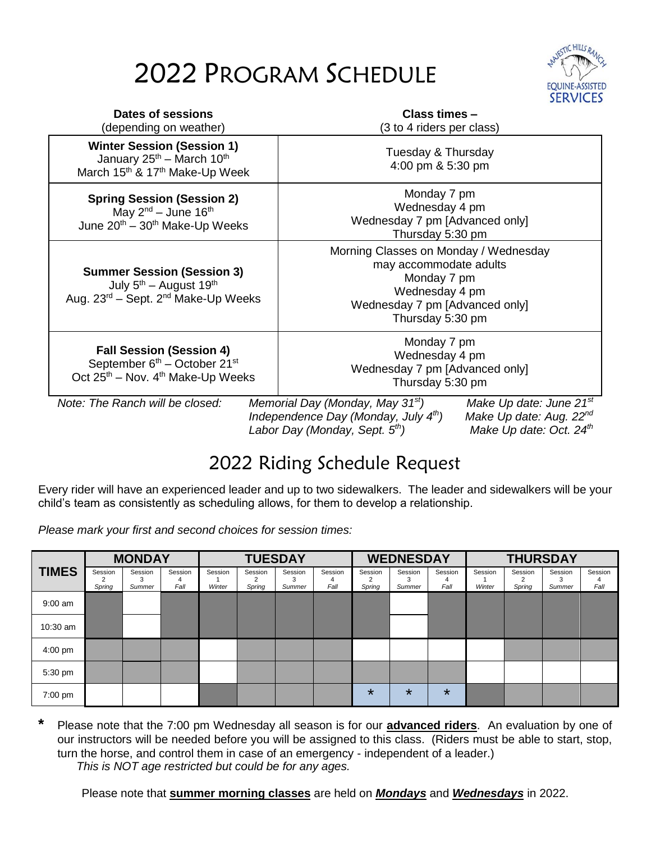# 2022 PROGRAM SCHEDULE



| Dates of sessions<br>(depending on weather)                                                                                                      |  | Class times -<br>(3 to 4 riders per class)                                                                                                                                                                                                                |  |  |  |  |
|--------------------------------------------------------------------------------------------------------------------------------------------------|--|-----------------------------------------------------------------------------------------------------------------------------------------------------------------------------------------------------------------------------------------------------------|--|--|--|--|
| <b>Winter Session (Session 1)</b><br>January 25 <sup>th</sup> – March 10 <sup>th</sup><br>March 15 <sup>th</sup> & 17 <sup>th</sup> Make-Up Week |  | Tuesday & Thursday<br>4:00 pm & 5:30 pm                                                                                                                                                                                                                   |  |  |  |  |
| <b>Spring Session (Session 2)</b><br>May $2^{nd}$ – June 16 <sup>th</sup><br>June 20 <sup>th</sup> – 30 <sup>th</sup> Make-Up Weeks              |  | Monday 7 pm<br>Wednesday 4 pm<br>Wednesday 7 pm [Advanced only]<br>Thursday 5:30 pm                                                                                                                                                                       |  |  |  |  |
| <b>Summer Session (Session 3)</b><br>July $5^{th}$ – August 19 <sup>th</sup><br>Aug. $23^{\text{rd}}$ – Sept. $2^{\text{nd}}$ Make-Up Weeks      |  | Morning Classes on Monday / Wednesday<br>may accommodate adults<br>Monday 7 pm<br>Wednesday 4 pm<br>Wednesday 7 pm [Advanced only]<br>Thursday 5:30 pm                                                                                                    |  |  |  |  |
| <b>Fall Session (Session 4)</b><br>September 6 <sup>th</sup> – October 21 <sup>st</sup><br>Oct $25th$ – Nov. $4th$ Make-Up Weeks                 |  | Monday 7 pm<br>Wednesday 4 pm<br>Wednesday 7 pm [Advanced only]<br>Thursday 5:30 pm                                                                                                                                                                       |  |  |  |  |
| Note: The Ranch will be closed:                                                                                                                  |  | Make Up date: June 21 <sup>st</sup><br>Memorial Day (Monday, May 31 <sup>st</sup> )<br>Independence Day (Monday, July $4th$ )<br>Make Up date: Aug. 22 <sup>nd</sup><br>Labor Day (Monday, Sept. 5 <sup>th</sup> )<br>Make Up date: Oct. 24 <sup>th</sup> |  |  |  |  |

### 2022 Riding Schedule Request

Every rider will have an experienced leader and up to two sidewalkers. The leader and sidewalkers will be your child's team as consistently as scheduling allows, for them to develop a relationship.

*Please mark your first and second choices for session times:*

|                   |                   | <b>MONDAY</b>     |                 |                   | <b>TUESDAY</b>    |                   |                      | <b>WEDNESDAY</b>  |                   |                 | <b>THURSDAY</b>   |                   |                        |                      |
|-------------------|-------------------|-------------------|-----------------|-------------------|-------------------|-------------------|----------------------|-------------------|-------------------|-----------------|-------------------|-------------------|------------------------|----------------------|
| <b>TIMES</b>      | Session<br>Spring | Session<br>Summer | Session<br>Fall | Session<br>Winter | Session<br>Spring | Session<br>Summer | Session<br>4<br>Fall | Session<br>Spring | Session<br>Summer | Session<br>Fall | Session<br>Winter | Session<br>Spring | Session<br>З<br>Summer | Session<br>4<br>Fall |
| $9:00$ am         |                   |                   |                 |                   |                   |                   |                      |                   |                   |                 |                   |                   |                        |                      |
| $10:30$ am        |                   |                   |                 |                   |                   |                   |                      |                   |                   |                 |                   |                   |                        |                      |
| $4:00 \text{ pm}$ |                   |                   |                 |                   |                   |                   |                      |                   |                   |                 |                   |                   |                        |                      |
| 5:30 pm           |                   |                   |                 |                   |                   |                   |                      |                   |                   |                 |                   |                   |                        |                      |
| $7:00$ pm         |                   |                   |                 |                   |                   |                   |                      | $\star$           | $\star$           | $\star$         |                   |                   |                        |                      |

**\*** Please note that the 7:00 pm Wednesday all season is for our **advanced riders**. An evaluation by one of our instructors will be needed before you will be assigned to this class. (Riders must be able to start, stop, turn the horse, and control them in case of an emergency - independent of a leader.) *This is NOT age restricted but could be for any ages.*

Please note that **summer morning classes** are held on *Mondays* and *Wednesdays* in 2022.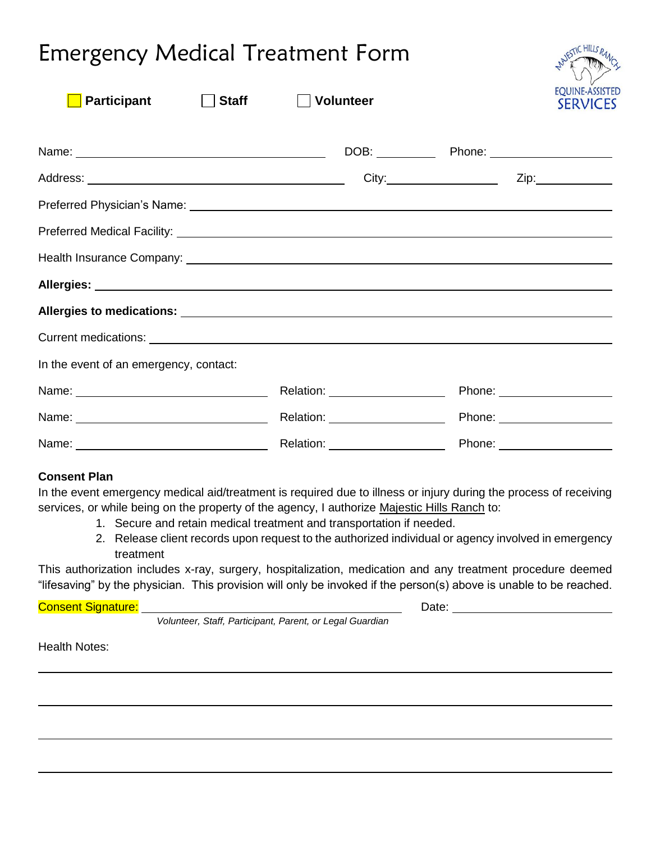## Emergency Medical Treatment Form

| <b>Participant</b><br><b>Staff</b>     | <b>Volunteer</b>                  |                              | <b>EQUINE-ASSISTE</b><br><b>SERVICES</b> |
|----------------------------------------|-----------------------------------|------------------------------|------------------------------------------|
|                                        |                                   |                              |                                          |
|                                        |                                   |                              |                                          |
|                                        |                                   |                              |                                          |
|                                        |                                   |                              |                                          |
|                                        |                                   |                              |                                          |
|                                        |                                   |                              |                                          |
| In the event of an emergency, contact: |                                   |                              |                                          |
|                                        | Relation: ____________________    |                              |                                          |
|                                        | Relation: _______________________ | Phone: _____________________ |                                          |
|                                        | Relation: ______________________  |                              |                                          |

#### **Consent Plan**

In the event emergency medical aid/treatment is required due to illness or injury during the process of receiving services, or while being on the property of the agency, I authorize Majestic Hills Ranch to:

- 1. Secure and retain medical treatment and transportation if needed.
- 2. Release client records upon request to the authorized individual or agency involved in emergency treatment

This authorization includes x-ray, surgery, hospitalization, medication and any treatment procedure deemed "lifesaving" by the physician. This provision will only be invoked if the person(s) above is unable to be reached.

### Consent Signature: <u>Date: Date: Date: Date: Date: Date: Date: Date: Date: Date: Date: Date: Date: Date: Date: Date: Date: Date: Date: Date: Date: Date: Date: Date: Date: Date: Date: Date: Date: Date: Date: Date: Date: Date</u>

*Volunteer, Staff, Participant, Parent, or Legal Guardian*

Health Notes: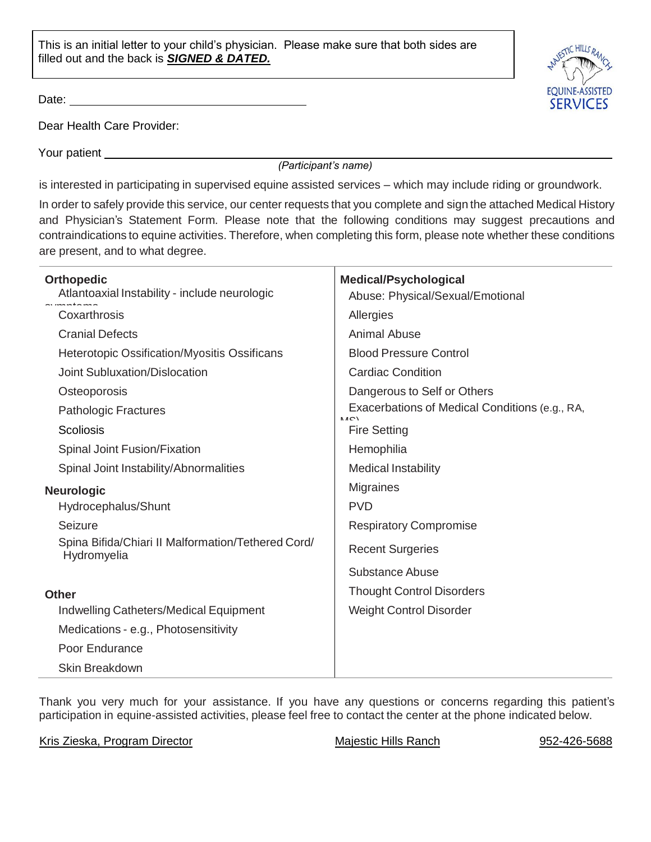This is an initial letter to your child's physician. Please make sure that both sides are filled out and the back is *SIGNED & DATED.*

Date:

Dear Health Care Provider:

Your patient

*(Participant's name)*

is interested in participating in supervised equine assisted services – which may include riding or groundwork.

In order to safely provide this service, our center requests that you complete and sign the attached Medical History and Physician's Statement Form. Please note that the following conditions may suggest precautions and contraindications to equine activities. Therefore, when completing this form, please note whether these conditions are present, and to what degree.

| <b>Orthopedic</b>                                                 | <b>Medical/Psychological</b>                          |
|-------------------------------------------------------------------|-------------------------------------------------------|
| Atlantoaxial Instability - include neurologic                     | Abuse: Physical/Sexual/Emotional                      |
| Coxarthrosis                                                      | Allergies                                             |
| <b>Cranial Defects</b>                                            | <b>Animal Abuse</b>                                   |
| <b>Heterotopic Ossification/Myositis Ossificans</b>               | <b>Blood Pressure Control</b>                         |
| <b>Joint Subluxation/Dislocation</b>                              | <b>Cardiac Condition</b>                              |
| Osteoporosis                                                      | Dangerous to Self or Others                           |
| <b>Pathologic Fractures</b>                                       | Exacerbations of Medical Conditions (e.g., RA,<br>NAC |
| <b>Scoliosis</b>                                                  | <b>Fire Setting</b>                                   |
| Spinal Joint Fusion/Fixation                                      | Hemophilia                                            |
| Spinal Joint Instability/Abnormalities                            | <b>Medical Instability</b>                            |
| <b>Neurologic</b>                                                 | <b>Migraines</b>                                      |
| Hydrocephalus/Shunt                                               | <b>PVD</b>                                            |
| Seizure                                                           | <b>Respiratory Compromise</b>                         |
| Spina Bifida/Chiari II Malformation/Tethered Cord/<br>Hydromyelia | <b>Recent Surgeries</b>                               |
|                                                                   | Substance Abuse                                       |
| <b>Other</b>                                                      | <b>Thought Control Disorders</b>                      |
| <b>Indwelling Catheters/Medical Equipment</b>                     | <b>Weight Control Disorder</b>                        |
| Medications - e.g., Photosensitivity                              |                                                       |
| Poor Endurance                                                    |                                                       |
| <b>Skin Breakdown</b>                                             |                                                       |

Thank you very much for your assistance. If you have any questions or concerns regarding this patient's participation in equine-assisted activities, please feel free to contact the center at the phone indicated below.

Kris Zieska, Program Director **Majestic Hills Ranch** 952-426-5688